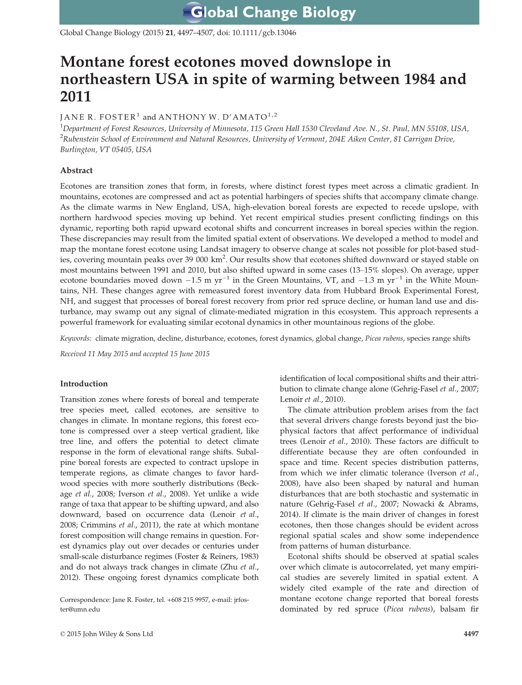Global Change Biology (2015) 21, 4497–4507, doi: 10.1111/gcb.13046

# Montane forest ecotones moved downslope in northeastern USA in spite of warming between 1984 and 2011

## JANE R. FOSTER<sup>1</sup> and ANTHONY W. D'AMATO<sup>1,2</sup>

 $^1$ Department of Forest Resources, University of Minnesota, 115 Green Hall 1530 Cleveland Ave. N., St. Paul, MN 55108, USA,  $^2$ Rubenstein School of Environment and Natural Resources, University of Vermont, 204E Aiken Center, 81 Carrigan Drive, Burlington, VT 05405, USA

## Abstract

Ecotones are transition zones that form, in forests, where distinct forest types meet across a climatic gradient. In mountains, ecotones are compressed and act as potential harbingers of species shifts that accompany climate change. As the climate warms in New England, USA, high-elevation boreal forests are expected to recede upslope, with northern hardwood species moving up behind. Yet recent empirical studies present conflicting findings on this dynamic, reporting both rapid upward ecotonal shifts and concurrent increases in boreal species within the region. These discrepancies may result from the limited spatial extent of observations. We developed a method to model and map the montane forest ecotone using Landsat imagery to observe change at scales not possible for plot-based studies, covering mountain peaks over 39 000 km<sup>2</sup>. Our results show that ecotones shifted downward or stayed stable on most mountains between 1991 and 2010, but also shifted upward in some cases (13–15% slopes). On average, upper ecotone boundaries moved down -1.5 m  $yr^{-1}$  in the Green Mountains, VT, and -1.3 m  $yr^{-1}$  in the White Mountains, NH. These changes agree with remeasured forest inventory data from Hubbard Brook Experimental Forest, NH, and suggest that processes of boreal forest recovery from prior red spruce decline, or human land use and disturbance, may swamp out any signal of climate-mediated migration in this ecosystem. This approach represents a powerful framework for evaluating similar ecotonal dynamics in other mountainous regions of the globe.

Keywords: climate migration, decline, disturbance, ecotones, forest dynamics, global change, Picea rubens, species range shifts

Received 11 May 2015 and accepted 15 June 2015

## Introduction

Transition zones where forests of boreal and temperate tree species meet, called ecotones, are sensitive to changes in climate. In montane regions, this forest ecotone is compressed over a steep vertical gradient, like tree line, and offers the potential to detect climate response in the form of elevational range shifts. Subalpine boreal forests are expected to contract upslope in temperate regions, as climate changes to favor hardwood species with more southerly distributions (Beckage et al., 2008; Iverson et al., 2008). Yet unlike a wide range of taxa that appear to be shifting upward, and also downward, based on occurrence data (Lenoir et al., 2008; Crimmins et al., 2011), the rate at which montane forest composition will change remains in question. Forest dynamics play out over decades or centuries under small-scale disturbance regimes (Foster & Reiners, 1983) and do not always track changes in climate (Zhu et al., 2012). These ongoing forest dynamics complicate both

Correspondence: Jane R. Foster, tel. +608 215 9957, e-mail: jrfoster@umn.edu

identification of local compositional shifts and their attribution to climate change alone (Gehrig-Fasel et al., 2007; Lenoir et al., 2010).

The climate attribution problem arises from the fact that several drivers change forests beyond just the biophysical factors that affect performance of individual trees (Lenoir et al., 2010). These factors are difficult to differentiate because they are often confounded in space and time. Recent species distribution patterns, from which we infer climatic tolerance (Iverson et al., 2008), have also been shaped by natural and human disturbances that are both stochastic and systematic in nature (Gehrig-Fasel et al., 2007; Nowacki & Abrams, 2014). If climate is the main driver of changes in forest ecotones, then those changes should be evident across regional spatial scales and show some independence from patterns of human disturbance.

Ecotonal shifts should be observed at spatial scales over which climate is autocorrelated, yet many empirical studies are severely limited in spatial extent. A widely cited example of the rate and direction of montane ecotone change reported that boreal forests dominated by red spruce (Picea rubens), balsam fir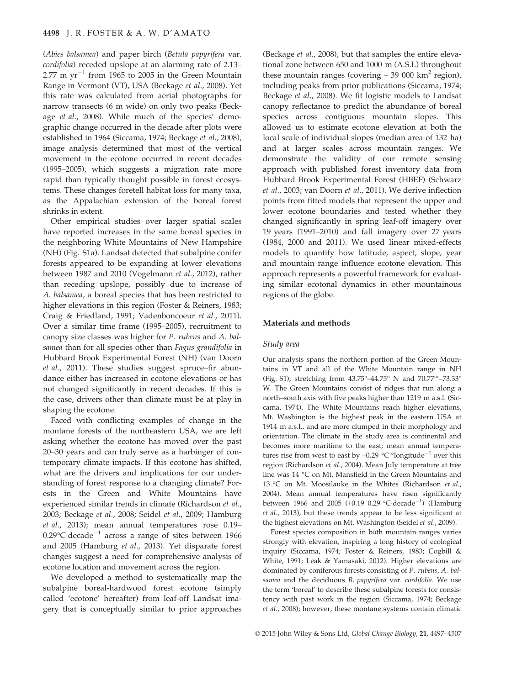(Abies balsamea) and paper birch (Betula papyrifera var. cordifolia) receded upslope at an alarming rate of 2.13– 2.77 m  $yr^{-1}$  from 1965 to 2005 in the Green Mountain Range in Vermont (VT), USA (Beckage et al., 2008). Yet this rate was calculated from aerial photographs for narrow transects (6 m wide) on only two peaks (Beckage *et al.*, 2008). While much of the species' demographic change occurred in the decade after plots were established in 1964 (Siccama, 1974; Beckage et al., 2008), image analysis determined that most of the vertical movement in the ecotone occurred in recent decades (1995–2005), which suggests a migration rate more rapid than typically thought possible in forest ecosystems. These changes foretell habitat loss for many taxa, as the Appalachian extension of the boreal forest shrinks in extent.

Other empirical studies over larger spatial scales have reported increases in the same boreal species in the neighboring White Mountains of New Hampshire (NH) (Fig. S1a). Landsat detected that subalpine conifer forests appeared to be expanding at lower elevations between 1987 and 2010 (Vogelmann et al., 2012), rather than receding upslope, possibly due to increase of A. balsamea, a boreal species that has been restricted to higher elevations in this region (Foster & Reiners, 1983; Craig & Friedland, 1991; Vadenboncoeur et al., 2011). Over a similar time frame (1995–2005), recruitment to canopy size classes was higher for P. rubens and A. balsamea than for all species other than Fagus grandifolia in Hubbard Brook Experimental Forest (NH) (van Doorn et al., 2011). These studies suggest spruce–fir abundance either has increased in ecotone elevations or has not changed significantly in recent decades. If this is the case, drivers other than climate must be at play in shaping the ecotone.

Faced with conflicting examples of change in the montane forests of the northeastern USA, we are left asking whether the ecotone has moved over the past 20–30 years and can truly serve as a harbinger of contemporary climate impacts. If this ecotone has shifted, what are the drivers and implications for our understanding of forest response to a changing climate? Forests in the Green and White Mountains have experienced similar trends in climate (Richardson et al., 2003; Beckage et al., 2008; Seidel et al., 2009; Hamburg et al., 2013); mean annual temperatures rose 0.19–  $0.29^{\circ}$ C·decade<sup>-1</sup> across a range of sites between 1966 and 2005 (Hamburg et al., 2013). Yet disparate forest changes suggest a need for comprehensive analysis of ecotone location and movement across the region.

We developed a method to systematically map the subalpine boreal-hardwood forest ecotone (simply called 'ecotone' hereafter) from leaf-off Landsat imagery that is conceptually similar to prior approaches (Beckage et al., 2008), but that samples the entire elevational zone between 650 and 1000 m (A.S.L) throughout these mountain ranges (covering  $\sim$  39 000 km<sup>2</sup> region), including peaks from prior publications (Siccama, 1974; Beckage et al., 2008). We fit logistic models to Landsat canopy reflectance to predict the abundance of boreal species across contiguous mountain slopes. This allowed us to estimate ecotone elevation at both the local scale of individual slopes (median area of 132 ha) and at larger scales across mountain ranges. We demonstrate the validity of our remote sensing approach with published forest inventory data from Hubbard Brook Experimental Forest (HBEF) (Schwarz et al., 2003; van Doorn et al., 2011). We derive inflection points from fitted models that represent the upper and lower ecotone boundaries and tested whether they changed significantly in spring leaf-off imagery over 19 years (1991–2010) and fall imagery over 27 years (1984, 2000 and 2011). We used linear mixed-effects models to quantify how latitude, aspect, slope, year and mountain range influence ecotone elevation. This approach represents a powerful framework for evaluating similar ecotonal dynamics in other mountainous regions of the globe.

#### Materials and methods

#### Study area

Our analysis spans the northern portion of the Green Mountains in VT and all of the White Mountain range in NH (Fig. S1), stretching from 43.75°–44.75° N and 70.77°'–73.33° W. The Green Mountains consist of ridges that run along a north–south axis with five peaks higher than 1219 m a.s.l. (Siccama, 1974). The White Mountains reach higher elevations, Mt. Washington is the highest peak in the eastern USA at 1914 m a.s.l., and are more clumped in their morphology and orientation. The climate in the study area is continental and becomes more maritime to the east; mean annual temperatures rise from west to east by  $+0.29$  °C $\cdot$ °longitude<sup>-1</sup> over this region (Richardson et al., 2004). Mean July temperature at tree line was 14 °C on Mt. Mansfield in the Green Mountains and 13 °C on Mt. Moosilauke in the Whites (Richardson et al., 2004). Mean annual temperatures have risen significantly between 1966 and 2005  $(+0.19-0.29 \degree \text{C-decade}^{-1})$  (Hamburg et al., 2013), but these trends appear to be less significant at the highest elevations on Mt. Washington (Seidel et al., 2009).

Forest species composition in both mountain ranges varies strongly with elevation, inspiring a long history of ecological inquiry (Siccama, 1974; Foster & Reiners, 1983; Cogbill & White, 1991; Leak & Yamasaki, 2012). Higher elevations are dominated by coniferous forests consisting of P. rubens, A. balsamea and the deciduous B. papyrifera var. cordifolia. We use the term 'boreal' to describe these subalpine forests for consistency with past work in the region (Siccama, 1974; Beckage et al., 2008); however, these montane systems contain climatic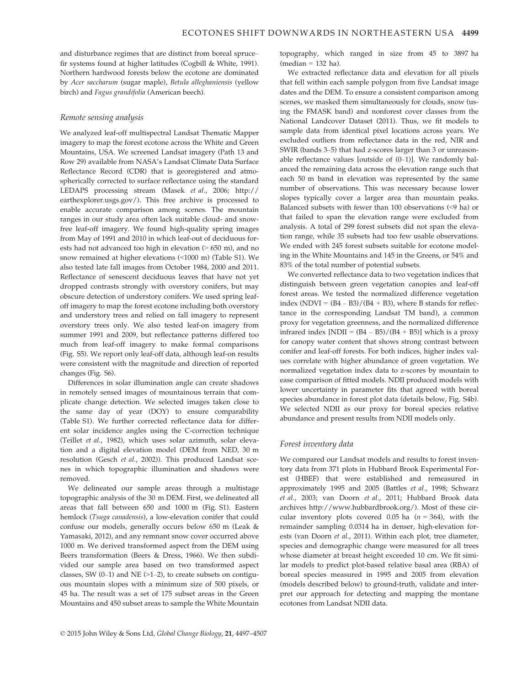and disturbance regimes that are distinct from boreal spruce– fir systems found at higher latitudes (Cogbill & White, 1991). Northern hardwood forests below the ecotone are dominated by Acer saccharum (sugar maple), Betula alleghaniensis (yellow birch) and Fagus grandifolia (American beech).

#### Remote sensing analysis

We analyzed leaf-off multispectral Landsat Thematic Mapper imagery to map the forest ecotone across the White and Green Mountains, USA. We screened Landsat imagery (Path 13 and Row 29) available from NASA's Landsat Climate Data Surface Reflectance Record (CDR) that is georegistered and atmospherically corrected to surface reflectance using the standard LEDAPS processing stream (Masek et al., 2006; [http://](http://earthexplorer.usgs.gov/) [earthexplorer.usgs.gov/](http://earthexplorer.usgs.gov/)). This free archive is processed to enable accurate comparison among scenes. The mountain ranges in our study area often lack suitable cloud- and snowfree leaf-off imagery. We found high-quality spring images from May of 1991 and 2010 in which leaf-out of deciduous forests had not advanced too high in elevation (> 650 m), and no snow remained at higher elevations (<1000 m) (Table S1). We also tested late fall images from October 1984, 2000 and 2011. Reflectance of senescent deciduous leaves that have not yet dropped contrasts strongly with overstory conifers, but may obscure detection of understory conifers. We used spring leafoff imagery to map the forest ecotone including both overstory and understory trees and relied on fall imagery to represent overstory trees only. We also tested leaf-on imagery from summer 1991 and 2009, but reflectance patterns differed too much from leaf-off imagery to make formal comparisons (Fig. S5). We report only leaf-off data, although leaf-on results were consistent with the magnitude and direction of reported changes (Fig. S6).

Differences in solar illumination angle can create shadows in remotely sensed images of mountainous terrain that complicate change detection. We selected images taken close to the same day of year (DOY) to ensure comparability (Table S1). We further corrected reflectance data for different solar incidence angles using the C-correction technique (Teillet et al., 1982), which uses solar azimuth, solar elevation and a digital elevation model (DEM from NED, 30 m resolution (Gesch et al., 2002)). This produced Landsat scenes in which topographic illumination and shadows were removed.

We delineated our sample areas through a multistage topographic analysis of the 30 m DEM. First, we delineated all areas that fall between 650 and 1000 m (Fig. S1). Eastern hemlock (Tsuga canadensis), a low-elevation conifer that could confuse our models, generally occurs below 650 m (Leak & Yamasaki, 2012), and any remnant snow cover occurred above 1000 m. We derived transformed aspect from the DEM using Beers transformation (Beers & Dress, 1966). We then subdivided our sample area based on two transformed aspect classes, SW  $(0-1)$  and NE  $(>1-2)$ , to create subsets on contiguous mountain slopes with a minimum size of 500 pixels, or 45 ha. The result was a set of 175 subset areas in the Green Mountains and 450 subset areas to sample the White Mountain topography, which ranged in size from 45 to 3897 ha  $(median = 132 \text{ ha}).$ 

We extracted reflectance data and elevation for all pixels that fell within each sample polygon from five Landsat image dates and the DEM. To ensure a consistent comparison among scenes, we masked them simultaneously for clouds, snow (using the FMASK band) and nonforest cover classes from the National Landcover Dataset (2011). Thus, we fit models to sample data from identical pixel locations across years. We excluded outliers from reflectance data in the red, NIR and SWIR (bands 3–5) that had z-scores larger than 3 or unreasonable reflectance values [outside of  $(0-1)$ ]. We randomly balanced the remaining data across the elevation range such that each 50 m band in elevation was represented by the same number of observations. This was necessary because lower slopes typically cover a larger area than mountain peaks. Balanced subsets with fewer than 100 observations (<9 ha) or that failed to span the elevation range were excluded from analysis. A total of 299 forest subsets did not span the elevation range, while 35 subsets had too few usable observations. We ended with 245 forest subsets suitable for ecotone modeling in the White Mountains and 145 in the Greens, or 54% and 83% of the total number of potential subsets.

We converted reflectance data to two vegetation indices that distinguish between green vegetation canopies and leaf-off forest areas. We tested the normalized difference vegetation index (NDVI =  $(B4 - B3)/(B4 + B3)$ , where B stands for reflectance in the corresponding Landsat TM band), a common proxy for vegetation greenness, and the normalized difference infrared index  $[NDI] = (B4 - B5)/(B4 + B5)$ ] which is a proxy for canopy water content that shows strong contrast between conifer and leaf-off forests. For both indices, higher index values correlate with higher abundance of green vegetation. We normalized vegetation index data to z-scores by mountain to ease comparison of fitted models. NDII produced models with lower uncertainty in parameter fits that agreed with boreal species abundance in forest plot data (details below, Fig. S4b). We selected NDII as our proxy for boreal species relative abundance and present results from NDII models only.

#### Forest inventory data

We compared our Landsat models and results to forest inventory data from 371 plots in Hubbard Brook Experimental Forest (HBEF) that were established and remeasured in approximately 1995 and 2005 (Battles et al., 1998; Schwarz et al., 2003; van Doorn et al., 2011; Hubbard Brook data archives<http://www.hubbardbrook.org/>). Most of these circular inventory plots covered 0.05 ha  $(n = 364)$ , with the remainder sampling 0.0314 ha in denser, high-elevation forests (van Doorn et al., 2011). Within each plot, tree diameter, species and demographic change were measured for all trees whose diameter at breast height exceeded 10 cm. We fit similar models to predict plot-based relative basal area (RBA) of boreal species measured in 1995 and 2005 from elevation (models described below) to ground-truth, validate and interpret our approach for detecting and mapping the montane ecotones from Landsat NDII data.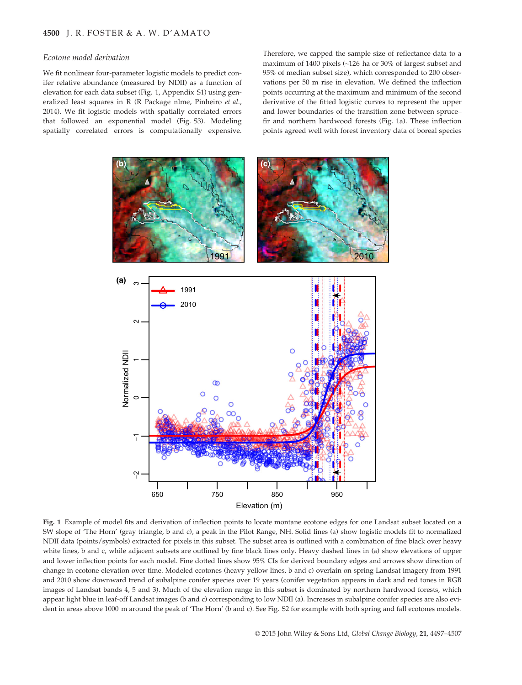#### Ecotone model derivation

We fit nonlinear four-parameter logistic models to predict conifer relative abundance (measured by NDII) as a function of elevation for each data subset (Fig. 1, Appendix S1) using generalized least squares in R (R Package nlme, Pinheiro et al., 2014). We fit logistic models with spatially correlated errors that followed an exponential model (Fig. S3). Modeling spatially correlated errors is computationally expensive. Therefore, we capped the sample size of reflectance data to a maximum of 1400 pixels (~126 ha or 30% of largest subset and 95% of median subset size), which corresponded to 200 observations per 50 m rise in elevation. We defined the inflection points occurring at the maximum and minimum of the second derivative of the fitted logistic curves to represent the upper and lower boundaries of the transition zone between spruce– fir and northern hardwood forests (Fig. 1a). These inflection points agreed well with forest inventory data of boreal species



Fig. 1 Example of model fits and derivation of inflection points to locate montane ecotone edges for one Landsat subset located on a SW slope of 'The Horn' (gray triangle, b and c), a peak in the Pilot Range, NH. Solid lines (a) show logistic models fit to normalized NDII data (points/symbols) extracted for pixels in this subset. The subset area is outlined with a combination of fine black over heavy white lines, b and c, while adjacent subsets are outlined by fine black lines only. Heavy dashed lines in (a) show elevations of upper and lower inflection points for each model. Fine dotted lines show 95% CIs for derived boundary edges and arrows show direction of change in ecotone elevation over time. Modeled ecotones (heavy yellow lines, b and c) overlain on spring Landsat imagery from 1991 and 2010 show downward trend of subalpine conifer species over 19 years (conifer vegetation appears in dark and red tones in RGB images of Landsat bands 4, 5 and 3). Much of the elevation range in this subset is dominated by northern hardwood forests, which appear light blue in leaf-off Landsat images (b and c) corresponding to low NDII (a). Increases in subalpine conifer species are also evident in areas above 1000 m around the peak of 'The Horn' (b and c). See Fig. S2 for example with both spring and fall ecotones models.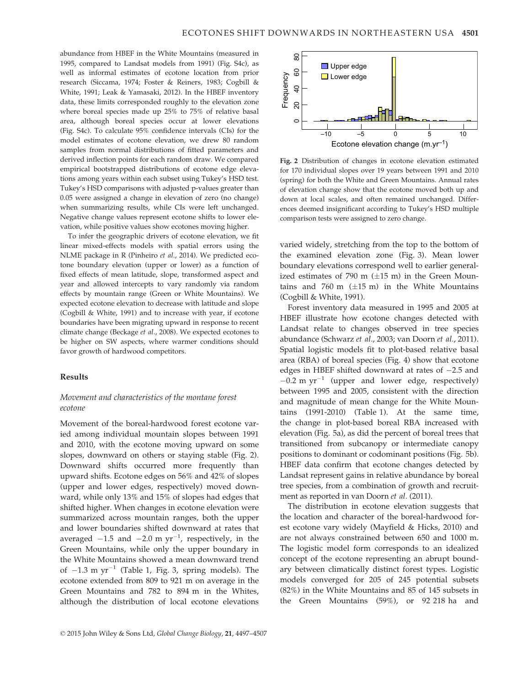abundance from HBEF in the White Mountains (measured in 1995, compared to Landsat models from 1991) (Fig. S4c), as well as informal estimates of ecotone location from prior research (Siccama, 1974; Foster & Reiners, 1983; Cogbill & White, 1991; Leak & Yamasaki, 2012). In the HBEF inventory data, these limits corresponded roughly to the elevation zone where boreal species made up 25% to 75% of relative basal area, although boreal species occur at lower elevations (Fig. S4c). To calculate 95% confidence intervals (CIs) for the model estimates of ecotone elevation, we drew 80 random samples from normal distributions of fitted parameters and derived inflection points for each random draw. We compared empirical bootstrapped distributions of ecotone edge elevations among years within each subset using Tukey's HSD test. Tukey's HSD comparisons with adjusted p-values greater than 0.05 were assigned a change in elevation of zero (no change) when summarizing results, while CIs were left unchanged. Negative change values represent ecotone shifts to lower elevation, while positive values show ecotones moving higher.

To infer the geographic drivers of ecotone elevation, we fit linear mixed-effects models with spatial errors using the NLME package in R (Pinheiro et al., 2014). We predicted ecotone boundary elevation (upper or lower) as a function of fixed effects of mean latitude, slope, transformed aspect and year and allowed intercepts to vary randomly via random effects by mountain range (Green or White Mountains). We expected ecotone elevation to decrease with latitude and slope (Cogbill & White, 1991) and to increase with year, if ecotone boundaries have been migrating upward in response to recent climate change (Beckage et al., 2008). We expected ecotones to be higher on SW aspects, where warmer conditions should favor growth of hardwood competitors.

### Results

## Movement and characteristics of the montane forest ecotone

Movement of the boreal-hardwood forest ecotone varied among individual mountain slopes between 1991 and 2010, with the ecotone moving upward on some slopes, downward on others or staying stable (Fig. 2). Downward shifts occurred more frequently than upward shifts. Ecotone edges on 56% and 42% of slopes (upper and lower edges, respectively) moved downward, while only 13% and 15% of slopes had edges that shifted higher. When changes in ecotone elevation were summarized across mountain ranges, both the upper and lower boundaries shifted downward at rates that averaged  $-1.5$  and  $-2.0$  m  $yr^{-1}$ , respectively, in the Green Mountains, while only the upper boundary in the White Mountains showed a mean downward trend of  $-1.3$  m yr<sup>-1</sup> (Table 1, Fig. 3, spring models). The ecotone extended from 809 to 921 m on average in the Green Mountains and 782 to 894 m in the Whites, although the distribution of local ecotone elevations



Fig. 2 Distribution of changes in ecotone elevation estimated for 170 individual slopes over 19 years between 1991 and 2010 (spring) for both the White and Green Mountains. Annual rates of elevation change show that the ecotone moved both up and down at local scales, and often remained unchanged. Differences deemed insignificant according to Tukey's HSD multiple comparison tests were assigned to zero change.

varied widely, stretching from the top to the bottom of the examined elevation zone (Fig. 3). Mean lower boundary elevations correspond well to earlier generalized estimates of 790 m  $(\pm 15 \text{ m})$  in the Green Mountains and 760 m  $(\pm 15 \text{ m})$  in the White Mountains (Cogbill & White, 1991).

Forest inventory data measured in 1995 and 2005 at HBEF illustrate how ecotone changes detected with Landsat relate to changes observed in tree species abundance (Schwarz et al., 2003; van Doorn et al., 2011). Spatial logistic models fit to plot-based relative basal area (RBA) of boreal species (Fig. 4) show that ecotone edges in HBEF shifted downward at rates of  $-2.5$  and  $-0.2$  m yr<sup>-1</sup> (upper and lower edge, respectively) between 1995 and 2005, consistent with the direction and magnitude of mean change for the White Mountains (1991-2010) (Table 1). At the same time, the change in plot-based boreal RBA increased with elevation (Fig. 5a), as did the percent of boreal trees that transitioned from subcanopy or intermediate canopy positions to dominant or codominant positions (Fig. 5b). HBEF data confirm that ecotone changes detected by Landsat represent gains in relative abundance by boreal tree species, from a combination of growth and recruitment as reported in van Doorn et al. (2011). **Example 19**<br>
Fig. 2 Distribution of changes in ecclone electrof the boron of the content of the Creation of distribution of changes in ecclone electrof in the Virtual 2016 of devation changes for 170 individual slopes ov

The distribution in ecotone elevation suggests that the location and character of the boreal-hardwood forest ecotone vary widely (Mayfield & Hicks, 2010) and are not always constrained between 650 and 1000 m. The logistic model form corresponds to an idealized concept of the ecotone representing an abrupt boundary between climatically distinct forest types. Logistic models converged for 205 of 245 potential subsets (82%) in the White Mountains and 85 of 145 subsets in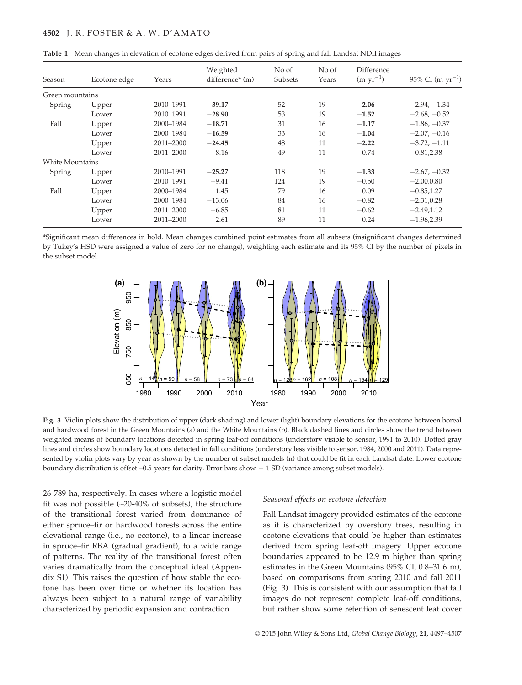#### 4502 J. R. FOSTER & A. W. D'AMATO

| Season          | Ecotone edge | Years         | Weighted<br>difference* (m) | No of<br>Subsets | No of<br>Years | Difference<br>$(m yr^{-1})$ | 95% CI (m $yr^{-1}$ ) |
|-----------------|--------------|---------------|-----------------------------|------------------|----------------|-----------------------------|-----------------------|
| Green mountains |              |               |                             |                  |                |                             |                       |
| Spring          | Upper        | 2010-1991     | $-39.17$                    | 52               | 19             | $-2.06$                     | $-2.94, -1.34$        |
|                 | Lower        | 2010-1991     | $-28.90$                    | 53               | 19             | $-1.52$                     | $-2.68, -0.52$        |
| Fall            | Upper        | 2000-1984     | $-18.71$                    | 31               | 16             | $-1.17$                     | $-1.86, -0.37$        |
|                 | Lower        | 2000-1984     | $-16.59$                    | 33               | 16             | $-1.04$                     | $-2.07, -0.16$        |
|                 | Upper        | 2011-2000     | $-24.45$                    | 48               | 11             | $-2.22$                     | $-3.72, -1.11$        |
|                 | Lower        | 2011-2000     | 8.16                        | 49               | 11             | 0.74                        | $-0.81, 2.38$         |
| White Mountains |              |               |                             |                  |                |                             |                       |
| Spring          | Upper        | 2010-1991     | $-25.27$                    | 118              | 19             | $-1.33$                     | $-2.67, -0.32$        |
|                 | Lower        | 2010-1991     | $-9.41$                     | 124              | 19             | $-0.50$                     | $-2.00,0.80$          |
| Fall            | Upper        | 2000–1984     | 1.45                        | 79               | 16             | 0.09                        | $-0.85, 1.27$         |
|                 | Lower        | 2000-1984     | $-13.06$                    | 84               | 16             | $-0.82$                     | $-2.31, 0.28$         |
|                 | Upper        | 2011-2000     | $-6.85$                     | 81               | 11             | $-0.62$                     | $-2.49,1.12$          |
|                 | Lower        | $2011 - 2000$ | 2.61                        | 89               | 11             | 0.24                        | $-1.96,2.39$          |
|                 |              |               |                             |                  |                |                             |                       |

Table 1 Mean changes in elevation of ecotone edges derived from pairs of spring and fall Landsat NDII images

\*Significant mean differences in bold. Mean changes combined point estimates from all subsets (insignificant changes determined by Tukey's HSD were assigned a value of zero for no change), weighting each estimate and its 95% CI by the number of pixels in the subset model.



Fig. 3 Violin plots show the distribution of upper (dark shading) and lower (light) boundary elevations for the ecotone between boreal and hardwood forest in the Green Mountains (a) and the White Mountains (b). Black dashed lines and circles show the trend between weighted means of boundary locations detected in spring leaf-off conditions (understory visible to sensor, 1991 to 2010). Dotted gray lines and circles show boundary locations detected in fall conditions (understory less visible to sensor, 1984, 2000 and 2011). Data represented by violin plots vary by year as shown by the number of subset models (n) that could be fit in each Landsat date. Lower ecotone boundary distribution is offset +0.5 years for clarity. Error bars show  $\pm$  1 SD (variance among subset models).

26 789 ha, respectively. In cases where a logistic model fit was not possible  $(\sim20-40\%$  of subsets), the structure of the transitional forest varied from dominance of either spruce–fir or hardwood forests across the entire elevational range (i.e., no ecotone), to a linear increase in spruce–fir RBA (gradual gradient), to a wide range of patterns. The reality of the transitional forest often varies dramatically from the conceptual ideal (Appendix S1). This raises the question of how stable the ecotone has been over time or whether its location has always been subject to a natural range of variability characterized by periodic expansion and contraction.

#### Seasonal effects on ecotone detection

Fall Landsat imagery provided estimates of the ecotone as it is characterized by overstory trees, resulting in ecotone elevations that could be higher than estimates derived from spring leaf-off imagery. Upper ecotone boundaries appeared to be 12.9 m higher than spring estimates in the Green Mountains (95% CI, 0.8–31.6 m), based on comparisons from spring 2010 and fall 2011 (Fig. 3). This is consistent with our assumption that fall images do not represent complete leaf-off conditions, but rather show some retention of senescent leaf cover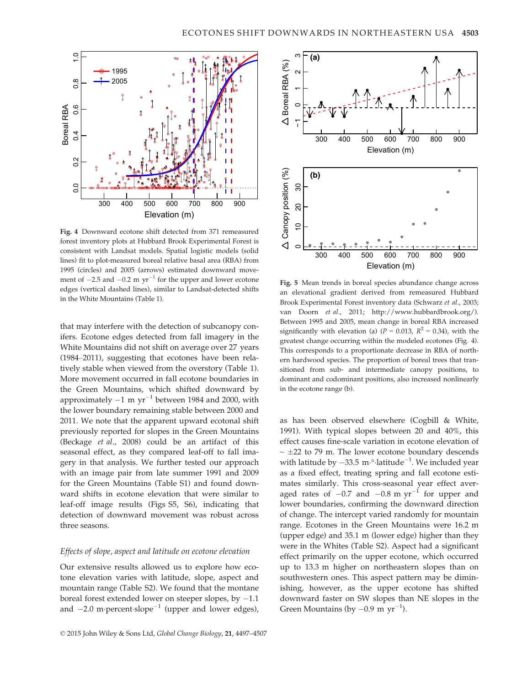

Fig. 4 Downward ecotone shift detected from 371 remeasured forest inventory plots at Hubbard Brook Experimental Forest is consistent with Landsat models. Spatial logistic models (solid lines) fit to plot-measured boreal relative basal area (RBA) from 1995 (circles) and 2005 (arrows) estimated downward movement of  $-2.5$  and  $-0.2$  m yr<sup>-1</sup> for the upper and lower ecotone edges (vertical dashed lines), similar to Landsat-detected shifts in the White Mountains (Table 1).

that may interfere with the detection of subcanopy conifers. Ecotone edges detected from fall imagery in the White Mountains did not shift on average over 27 years (1984–2011), suggesting that ecotones have been relatively stable when viewed from the overstory (Table 1). More movement occurred in fall ecotone boundaries in the Green Mountains, which shifted downward by approximately  $-1$  m  $yr^{-1}$  between 1984 and 2000, with the lower boundary remaining stable between 2000 and 2011. We note that the apparent upward ecotonal shift previously reported for slopes in the Green Mountains (Beckage et al., 2008) could be an artifact of this seasonal effect, as they compared leaf-off to fall imagery in that analysis. We further tested our approach with an image pair from late summer 1991 and 2009 for the Green Mountains (Table S1) and found downward shifts in ecotone elevation that were similar to leaf-off image results (Figs S5, S6), indicating that detection of downward movement was robust across three seasons.

#### Effects of slope, aspect and latitude on ecotone elevation

Our extensive results allowed us to explore how ecotone elevation varies with latitude, slope, aspect and mountain range (Table S2). We found that the montane boreal forest extended lower on steeper slopes, by  $-1.1$ and  $-2.0$  m percent slope<sup>-1</sup> (upper and lower edges),



Fig. 5 Mean trends in boreal species abundance change across an elevational gradient derived from remeasured Hubbard Brook Experimental Forest inventory data (Schwarz et al., 2003; van Doorn et al., 2011; [http://www.hubbardbrook.org/\)](http://www.hubbardbrook.org/). Between 1995 and 2005, mean change in boreal RBA increased significantly with elevation (a) ( $P = 0.013$ ,  $R^2 = 0.34$ ), with the greatest change occurring within the modeled ecotones (Fig. 4). This corresponds to a proportionate decrease in RBA of northern hardwood species. The proportion of boreal trees that transitioned from sub- and intermediate canopy positions, to dominant and codominant positions, also increased nonlinearly in the ecotone range (b).

as has been observed elsewhere (Cogbill & White, 1991). With typical slopes between 20 and 40%, this effect causes fine-scale variation in ecotone elevation of  $\sim \pm 22$  to 79 m. The lower ecotone boundary descends with latitude by  $-33.5 \text{ m} \cdot \text{alplitude}^{-1}$ . We included year as a fixed effect, treating spring and fall ecotone estimates similarly. This cross-seasonal year effect averaged rates of  $-0.7$  and  $-0.8$  m yr<sup>-1</sup> for upper and lower boundaries, confirming the downward direction of change. The intercept varied randomly for mountain range. Ecotones in the Green Mountains were 16.2 m (upper edge) and 35.1 m (lower edge) higher than they were in the Whites (Table S2). Aspect had a significant effect primarily on the upper ecotone, which occurred up to 13.3 m higher on northeastern slopes than on southwestern ones. This aspect pattern may be diminishing, however, as the upper ecotone has shifted downward faster on SW slopes than NE slopes in the Green Mountains (by  $-0.9 \text{ m yr}^{-1}$ ).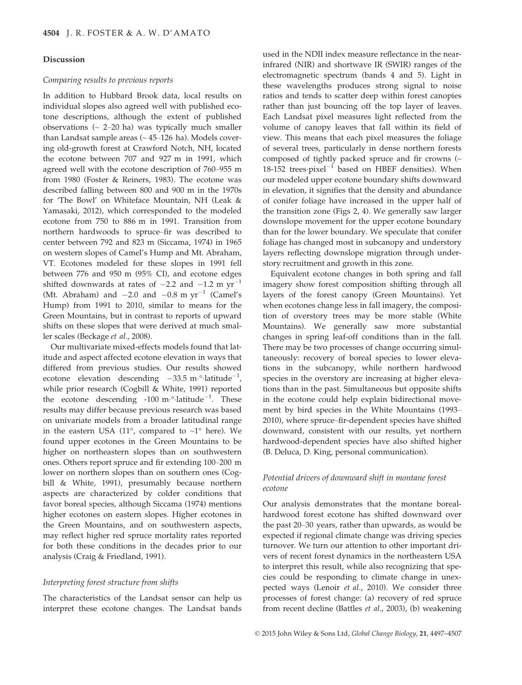#### Discussion

#### Comparing results to previous reports

In addition to Hubbard Brook data, local results on individual slopes also agreed well with published ecotone descriptions, although the extent of published observations  $\left(\sim 2-20 \text{ ha}\right)$  was typically much smaller than Landsat sample areas  $($   $\sim$  45 $-126$  ha). Models covering old-growth forest at Crawford Notch, NH, located the ecotone between 707 and 927 m in 1991, which agreed well with the ecotone description of 760–955 m from 1980 (Foster & Reiners, 1983). The ecotone was described falling between 800 and 900 m in the 1970s for 'The Bowl' on Whiteface Mountain, NH (Leak & Yamasaki, 2012), which corresponded to the modeled ecotone from 750 to 886 m in 1991. Transition from northern hardwoods to spruce–fir was described to center between 792 and 823 m (Siccama, 1974) in 1965 on western slopes of Camel's Hump and Mt. Abraham, VT. Ecotones modeled for these slopes in 1991 fell between 776 and 950 m (95% CI), and ecotone edges shifted downwards at rates of  $-2.2$  and  $-1.2$  m  $yr^{-1}$ (Mt. Abraham) and  $-2.0$  and  $-0.8$  m yr<sup>-1</sup> (Camel's Hump) from 1991 to 2010, similar to means for the Green Mountains, but in contrast to reports of upward shifts on these slopes that were derived at much smaller scales (Beckage et al., 2008).

Our multivariate mixed-effects models found that latitude and aspect affected ecotone elevation in ways that differed from previous studies. Our results showed ecotone elevation descending  $-33.5 \text{ m} \cdot \text{1}\text{atitude}^{-1}$ , while prior research (Cogbill & White, 1991) reported the ecotone descending  $-100 \text{ m} \cdot \text{0}$ -latitude<sup>-1</sup>. These results may differ because previous research was based on univariate models from a broader latitudinal range in the eastern USA (11 $\degree$ , compared to  $\sim$ 1 $\degree$  here). We found upper ecotones in the Green Mountains to be higher on northeastern slopes than on southwestern ones. Others report spruce and fir extending 100–200 m lower on northern slopes than on southern ones (Cogbill & White, 1991), presumably because northern aspects are characterized by colder conditions that favor boreal species, although Siccama (1974) mentions higher ecotones on eastern slopes. Higher ecotones in the Green Mountains, and on southwestern aspects, may reflect higher red spruce mortality rates reported for both these conditions in the decades prior to our analysis (Craig & Friedland, 1991).

#### Interpreting forest structure from shifts

The characteristics of the Landsat sensor can help us interpret these ecotone changes. The Landsat bands used in the NDII index measure reflectance in the nearinfrared (NIR) and shortwave IR (SWIR) ranges of the electromagnetic spectrum (bands 4 and 5). Light in these wavelengths produces strong signal to noise ratios and tends to scatter deep within forest canopies rather than just bouncing off the top layer of leaves. Each Landsat pixel measures light reflected from the volume of canopy leaves that fall within its field of view. This means that each pixel measures the foliage of several trees, particularly in dense northern forests composed of tightly packed spruce and fir crowns (~ 18-152 trees $-pixel^{-1}$  based on HBEF densities). When our modeled upper ecotone boundary shifts downward in elevation, it signifies that the density and abundance of conifer foliage have increased in the upper half of the transition zone (Figs 2, 4). We generally saw larger downslope movement for the upper ecotone boundary than for the lower boundary. We speculate that conifer foliage has changed most in subcanopy and understory layers reflecting downslope migration through understory recruitment and growth in this zone.

Equivalent ecotone changes in both spring and fall imagery show forest composition shifting through all layers of the forest canopy (Green Mountains). Yet when ecotones change less in fall imagery, the composition of overstory trees may be more stable (White Mountains). We generally saw more substantial changes in spring leaf-off conditions than in the fall. There may be two processes of change occurring simultaneously: recovery of boreal species to lower elevations in the subcanopy, while northern hardwood species in the overstory are increasing at higher elevations than in the past. Simultaneous but opposite shifts in the ecotone could help explain bidirectional movement by bird species in the White Mountains (1993– 2010), where spruce–fir-dependent species have shifted downward, consistent with our results, yet northern hardwood-dependent species have also shifted higher (B. Deluca, D. King, personal communication).

## Potential drivers of downward shift in montane forest ecotone

Our analysis demonstrates that the montane borealhardwood forest ecotone has shifted downward over the past 20–30 years, rather than upwards, as would be expected if regional climate change was driving species turnover. We turn our attention to other important drivers of recent forest dynamics in the northeastern USA to interpret this result, while also recognizing that species could be responding to climate change in unexpected ways (Lenoir et al., 2010). We consider three processes of forest change: (a) recovery of red spruce from recent decline (Battles et al., 2003), (b) weakening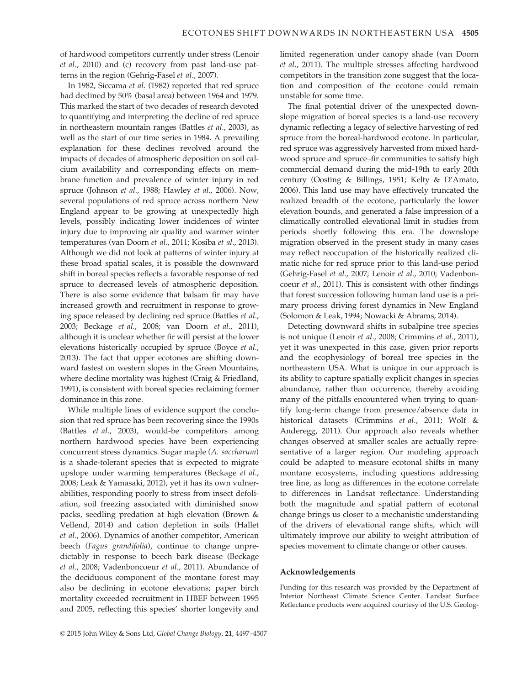of hardwood competitors currently under stress (Lenoir et al., 2010) and (c) recovery from past land-use patterns in the region (Gehrig-Fasel et al., 2007).

In 1982, Siccama et al. (1982) reported that red spruce had declined by 50% (basal area) between 1964 and 1979. This marked the start of two decades of research devoted to quantifying and interpreting the decline of red spruce in northeastern mountain ranges (Battles et al., 2003), as well as the start of our time series in 1984. A prevailing explanation for these declines revolved around the impacts of decades of atmospheric deposition on soil calcium availability and corresponding effects on membrane function and prevalence of winter injury in red spruce (Johnson et al., 1988; Hawley et al., 2006). Now, several populations of red spruce across northern New England appear to be growing at unexpectedly high levels, possibly indicating lower incidences of winter injury due to improving air quality and warmer winter temperatures (van Doorn et al., 2011; Kosiba et al., 2013). Although we did not look at patterns of winter injury at these broad spatial scales, it is possible the downward shift in boreal species reflects a favorable response of red spruce to decreased levels of atmospheric deposition. There is also some evidence that balsam fir may have increased growth and recruitment in response to growing space released by declining red spruce (Battles et al., 2003; Beckage et al., 2008; van Doorn et al., 2011), although it is unclear whether fir will persist at the lower elevations historically occupied by spruce (Boyce et al., 2013). The fact that upper ecotones are shifting downward fastest on western slopes in the Green Mountains, where decline mortality was highest (Craig & Friedland, 1991), is consistent with boreal species reclaiming former dominance in this zone.

While multiple lines of evidence support the conclusion that red spruce has been recovering since the 1990s (Battles et al., 2003), would-be competitors among northern hardwood species have been experiencing concurrent stress dynamics. Sugar maple (A. saccharum) is a shade-tolerant species that is expected to migrate upslope under warming temperatures (Beckage et al., 2008; Leak & Yamasaki, 2012), yet it has its own vulnerabilities, responding poorly to stress from insect defoliation, soil freezing associated with diminished snow packs, seedling predation at high elevation (Brown & Vellend, 2014) and cation depletion in soils (Hallet et al., 2006). Dynamics of another competitor, American beech (Fagus grandifolia), continue to change unpredictably in response to beech bark disease (Beckage et al., 2008; Vadenboncoeur et al., 2011). Abundance of the deciduous component of the montane forest may also be declining in ecotone elevations; paper birch mortality exceeded recruitment in HBEF between 1995 and 2005, reflecting this species' shorter longevity and limited regeneration under canopy shade (van Doorn et al., 2011). The multiple stresses affecting hardwood competitors in the transition zone suggest that the location and composition of the ecotone could remain unstable for some time.

The final potential driver of the unexpected downslope migration of boreal species is a land-use recovery dynamic reflecting a legacy of selective harvesting of red spruce from the boreal-hardwood ecotone. In particular, red spruce was aggressively harvested from mixed hardwood spruce and spruce–fir communities to satisfy high commercial demand during the mid-19th to early 20th century (Oosting & Billings, 1951; Kelty & D'Amato, 2006). This land use may have effectively truncated the realized breadth of the ecotone, particularly the lower elevation bounds, and generated a false impression of a climatically controlled elevational limit in studies from periods shortly following this era. The downslope migration observed in the present study in many cases may reflect reoccupation of the historically realized climatic niche for red spruce prior to this land-use period (Gehrig-Fasel et al., 2007; Lenoir et al., 2010; Vadenboncoeur et al., 2011). This is consistent with other findings that forest succession following human land use is a primary process driving forest dynamics in New England (Solomon & Leak, 1994; Nowacki & Abrams, 2014).

Detecting downward shifts in subalpine tree species is not unique (Lenoir et al., 2008; Crimmins et al., 2011), yet it was unexpected in this case, given prior reports and the ecophysiology of boreal tree species in the northeastern USA. What is unique in our approach is its ability to capture spatially explicit changes in species abundance, rather than occurrence, thereby avoiding many of the pitfalls encountered when trying to quantify long-term change from presence/absence data in historical datasets (Crimmins et al., 2011; Wolf & Anderegg, 2011). Our approach also reveals whether changes observed at smaller scales are actually representative of a larger region. Our modeling approach could be adapted to measure ecotonal shifts in many montane ecosystems, including questions addressing tree line, as long as differences in the ecotone correlate to differences in Landsat reflectance. Understanding both the magnitude and spatial pattern of ecotonal change brings us closer to a mechanistic understanding of the drivers of elevational range shifts, which will ultimately improve our ability to weight attribution of species movement to climate change or other causes.

#### Acknowledgements

Funding for this research was provided by the Department of Interior Northeast Climate Science Center. Landsat Surface Reflectance products were acquired courtesy of the U.S. Geolog-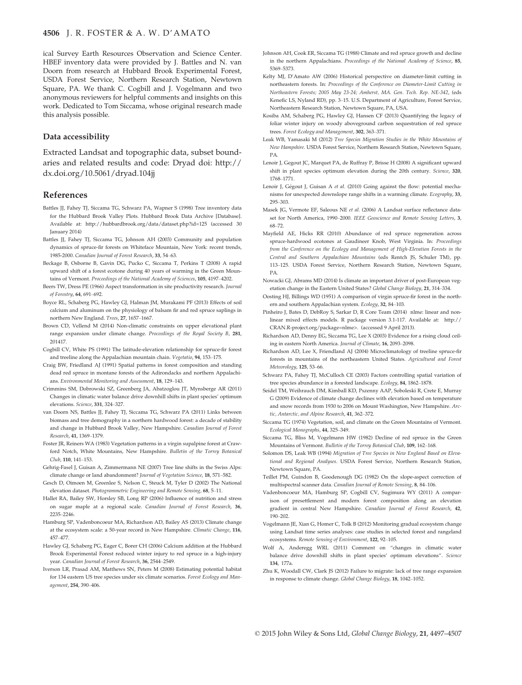ical Survey Earth Resources Observation and Science Center. HBEF inventory data were provided by J. Battles and N. van Doorn from research at Hubbard Brook Experimental Forest, USDA Forest Service, Northern Research Station, Newtown Square, PA. We thank C. Cogbill and J. Vogelmann and two anonymous reviewers for helpful comments and insights on this work. Dedicated to Tom Siccama, whose original research made this analysis possible.

#### Data accessibility

Extracted Landsat and topographic data, subset boundaries and related results and code: Dryad doi: [http://](http://dx.doi.org/http://dx.doi.org/10.5061/dryad.104jj) [dx.doi.org/10.5061/dryad.104jj](http://dx.doi.org/http://dx.doi.org/10.5061/dryad.104jj)

## References

- Battles JJ, Fahey TJ, Siccama TG, Schwarz PA, Wapner S (1998) Tree inventory data for the Hubbard Brook Valley Plots. Hubbard Brook Data Archive [Database]. Available at:<http://hubbardbrook.org/data/dataset.php?id=125> (accessed 30 January 2014)
- Battles JJ, Fahey TJ, Siccama TG, Johnson AH (2003) Community and population dynamics of spruce-fir forests on Whiteface Mountain, New York: recent trends, 1985-2000. Canadian Journal of Forest Research, 33, 54–63.
- Beckage B, Osborne B, Gavin DG, Pucko C, Siccama T, Perkins T (2008) A rapid upward shift of a forest ecotone during 40 years of warming in the Green Mountains of Vermont. Proceedings of the National Academy of Sciences, 105, 4197–4202.
- Beers TW, Dress PE (1966) Aspect transformation in site productivity research. Journal of Forestry, 64, 691–692.
- Boyce RL, Schaberg PG, Hawley GJ, Halman JM, Murakami PF (2013) Effects of soil calcium and aluminum on the physiology of balsam fir and red spruce saplings in northern New England. Trees, 27, 1657–1667.
- Brown CD, Vellend M (2014) Non-climatic constraints on upper elevational plant range expansion under climate change. Proceedings of the Royal Society B, 281, 201417.
- Cogbill CV, White PS (1991) The latitude-elevation relationship for spruce-fir forest and treeline along the Appalachian mountain chain. Vegetatio, 94, 153–175.
- Craig BW, Friedland AJ (1991) Spatial patterns in forest composition and standing dead red spruce in montane forests of the Adirondacks and northern Appalachians. Environmental Monitoring and Assessment, 18, 129–143.
- Crimmins SM, Dobrowski SZ, Greenberg JA, Abatzoglou JT, Mynsberge AR (2011) Changes in climatic water balance drive downhill shifts in plant species' optimum elevations. Science, 331, 324–327.
- van Doorn NS, Battles JJ, Fahey TJ, Siccama TG, Schwarz PA (2011) Links between biomass and tree demography in a northern hardwood forest: a decade of stability and change in Hubbard Brook Valley, New Hampshire. Canadian Journal of Forest Research, 41, 1369–1379.
- Foster JR, Reiners WA (1983) Vegetation patterns in a virgin supalpine forest at Crawford Notch, White Mountains, New Hampshire. Bulletin of the Torrey Botanical Club, 110, 141–153.
- Gehrig-Fasel J, Guisan A, Zimmermann NE (2007) Tree line shifts in the Swiss Alps: climate change or land abandonment? Journal of Vegetation Science, 18, 571–582.
- Gesch D, Oimoen M, Greenlee S, Nelson C, Steuck M, Tyler D (2002) The National elevation dataset. Photogrammetric Engineering and Remote Sensing, 68, 5–11.
- Hallet RA, Bailey SW, Horsley SB, Long RP (2006) Influence of nutrition and stress on sugar maple at a regional scale. Canadian Journal of Forest Research, 36, 2235–2246.
- Hamburg SP, Vadenboncoeur MA, Richardson AD, Bailey AS (2013) Climate change at the ecosystem scale: a 50-year record in New Hampshire. Climatic Change, 116, 457–477.
- Hawley GJ, Schaberg PG, Eager C, Borer CH (2006) Calcium addition at the Hubbard Brook Experimental Forest reduced winter injury to red spruce in a high-injury year. Canadian Journal of Forest Research, 36, 2544–2549.
- Iverson LR, Prasad AM, Matthews SN, Peters M (2008) Estimating potential habitat for 134 eastern US tree species under six climate scenarios. Forest Ecology and Management, 254, 390–406.
- Johnson AH, Cook ER, Siccama TG (1988) Climate and red spruce growth and decline in the northern Appalachians. Proceedings of the National Academy of Science, 85, 5369–5373.
- Kelty MJ, D'Amato AW (2006) Historical perspective on diameter-limit cutting in northeastern forests. In: Proceedings of the Conference on Diameter-Limit Cutting in Northeastern Forests; 2005 May 23-24; Amherst, MA. Gen. Tech. Rep. NE-342, (eds Kenefic LS, Nyland RD), pp. 3–15. U.S. Department of Agriculture, Forest Service, Northeastern Research Station, Newtown Square, PA, USA.
- Kosiba AM, Schaberg PG, Hawley GJ, Hansen CF (2013) Quantifying the legacy of foliar winter injury on woody aboveground carbon sequestration of red spruce trees. Forest Ecology and Management, 302, 363–371.
- Leak WB, Yamasaki M (2012) Tree Species Migration Studies in the White Mountains of New Hampshire. USDA Forest Service, Northern Research Station, Newtown Square, PA.
- Lenoir J, Gegout JC, Marquet PA, de Ruffray P, Brisse H (2008) A significant upward shift in plant species optimum elevation during the 20th century. Science, 320, 1768–1771.
- Lenoir J, Gégout J, Guisan A et al. (2010) Going against the flow: potential mechanisms for unexpected downslope range shifts in a warming climate. Ecography, 33, 295–303.
- Masek JG, Vermote EF, Saleous NE et al. (2006) A Landsat surface reflectance dataset for North America, 1990–2000. IEEE Geoscience and Remote Sensing Letters, 3. 68–72.
- Mayfield AE, Hicks RR (2010) Abundance of red spruce regeneration across spruce-hardwood ecotones at Gaudineer Knob, West Virginia. In: Proceedings from the Conference on the Ecology and Management of High-Elevation Forests in the Central and Southern Appalachian Mountains (eds Rentch JS, Schuler TM), pp. 113–125. USDA Forest Service, Northern Research Station, Newtown Square, PA.
- Nowacki GJ, Abrams MD (2014) Is climate an important driver of post-European vegetation change in the Eastern United States? Global Change Biology, 21, 314–334.
- Oosting HJ, Billings WD (1951) A comparison of virgin spruce-fir forest in the northern and southern Appalachian system. Ecology, 32, 84–103.
- Pinheiro J, Bates D, DebRoy S, Sarkar D, R Core Team (2014) nlme: linear and nonlinear mixed effects models. R package version 3.1-117. Available at: [http://](http://CRAN.R-project.org/package=nlme) [CRAN.R-project.org/package=nlme>](http://CRAN.R-project.org/package=nlme). (accessed 9 April 2013).
- Richardson AD, Denny EG, Siccama TG, Lee X (2003) Evidence for a rising cloud ceiling in eastern North America. Journal of Climate, 16, 2093–2098.
- Richardson AD, Lee X, Friendland AJ (2004) Microclimatology of treeline spruce-fir forests in mountains of the northeastern United States. Agricultural and Forest Meteorology, 125, 53–66.
- Schwarz PA, Fahey TJ, McCulloch CE (2003) Factors controlling spatial variation of tree species abundance in a forested landscape. Ecology, 84, 1862–1878.
- Seidel TM, Weihrauch DM, Kimball KD, Pszenny AAP, Soboleski R, Crete E, Murray G (2009) Evidence of climate change declines with elevation based on temperature and snow records from 1930 to 2006 on Mount Washington, New Hampshire. Arctic, Antarctic, and Alpine Research, 41, 362–372.
- Siccama TG (1974) Vegetation, soil, and climate on the Green Mountains of Vermont. Ecological Monographs, 44, 325–349.
- Siccama TG, Bliss M, Vogelmann HW (1982) Decline of red spruce in the Green Mountains of Vermont. Bulletin of the Torrey Botanical Club, 109, 162–168.
- Solomon DS, Leak WB (1994) Migration of Tree Species in New England Based on Elevational and Regional Analyses. USDA Forest Service, Northern Research Station, Newtown Square, PA.
- Teillet PM, Guindon B, Goodenough DG (1982) On the slope-aspect correction of multispectral scanner data. Canadian Journal of Remote Sensing, 8, 84–106.
- Vadenboncoeur MA, Hamburg SP, Cogbill CV, Sugimura WY (2011) A comparison of presettlement and modern forest composition along an elevation gradient in central New Hampshire. Canadian Journal of Forest Research, 42, 190–202.
- Vogelmann JE, Xian G, Homer C, Tolk B (2012) Monitoring gradual ecosystem change using Landsat time series analyses: case studies in selected forest and rangeland ecosystems. Remote Sensing of Environment, 122, 92–105.
- Wolf A, Anderegg WRL (2011) Comment on "changes in climatic water balance drive downhill shifts in plant species' optimum elevations". Science 134, 177a.
- Zhu K, Woodall CW, Clark JS (2012) Failure to migrate: lack of tree range expansion in response to climate change. Global Change Biology, 18, 1042–1052.